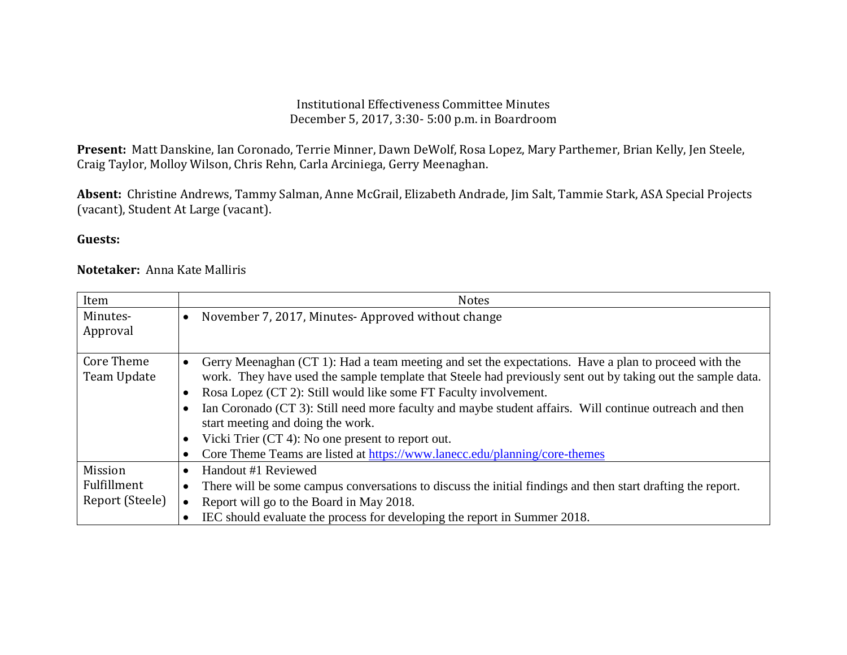## Institutional Effectiveness Committee Minutes December 5, 2017, 3:30- 5:00 p.m. in Boardroom

**Present:** Matt Danskine, Ian Coronado, Terrie Minner, Dawn DeWolf, Rosa Lopez, Mary Parthemer, Brian Kelly, Jen Steele, Craig Taylor, Molloy Wilson, Chris Rehn, Carla Arciniega, Gerry Meenaghan.

**Absent:** Christine Andrews, Tammy Salman, Anne McGrail, Elizabeth Andrade, Jim Salt, Tammie Stark, ASA Special Projects (vacant), Student At Large (vacant).

## **Guests:**

## **Notetaker:** Anna Kate Malliris

| Item              | <b>Notes</b>                                                                                                             |
|-------------------|--------------------------------------------------------------------------------------------------------------------------|
| Minutes-          | November 7, 2017, Minutes-Approved without change<br>$\bullet$                                                           |
| Approval          |                                                                                                                          |
|                   |                                                                                                                          |
| <b>Core Theme</b> | Gerry Meenaghan (CT 1): Had a team meeting and set the expectations. Have a plan to proceed with the<br>$\bullet$        |
| Team Update       | work. They have used the sample template that Steele had previously sent out by taking out the sample data.              |
|                   | Rosa Lopez (CT 2): Still would like some FT Faculty involvement.<br>$\bullet$                                            |
|                   | Ian Coronado (CT 3): Still need more faculty and maybe student affairs. Will continue outreach and then<br>$\bullet$     |
|                   | start meeting and doing the work.                                                                                        |
|                   | Vicki Trier (CT 4): No one present to report out.                                                                        |
|                   | Core Theme Teams are listed at https://www.lanecc.edu/planning/core-themes                                               |
| Mission           | Handout #1 Reviewed<br>$\bullet$                                                                                         |
| Fulfillment       | There will be some campus conversations to discuss the initial findings and then start drafting the report.<br>$\bullet$ |
| Report (Steele)   | Report will go to the Board in May 2018.                                                                                 |
|                   | IEC should evaluate the process for developing the report in Summer 2018.                                                |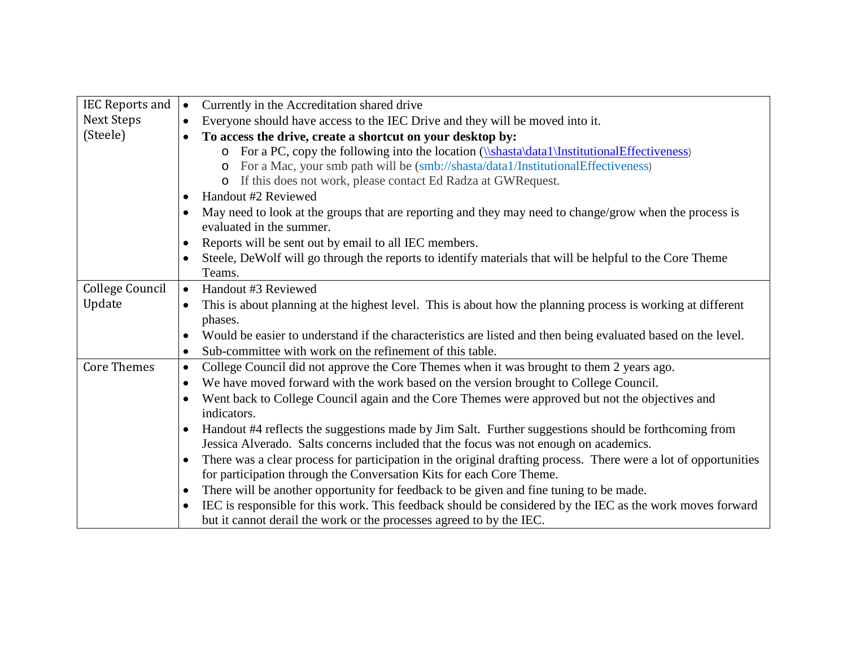| IEC Reports and $\vert \bullet \vert$ |           | Currently in the Accreditation shared drive                                                                     |
|---------------------------------------|-----------|-----------------------------------------------------------------------------------------------------------------|
| Next Steps                            | $\bullet$ |                                                                                                                 |
|                                       |           | Everyone should have access to the IEC Drive and they will be moved into it.                                    |
| (Steele)                              |           | To access the drive, create a shortcut on your desktop by:                                                      |
|                                       |           | o For a PC, copy the following into the location (\\shasta\data1\InstitutionalEffectiveness)                    |
|                                       |           | For a Mac, your smb path will be (smb://shasta/data1/InstitutionalEffectiveness)<br>$\circ$                     |
|                                       |           | o If this does not work, please contact Ed Radza at GWR equest.                                                 |
|                                       | $\bullet$ | Handout #2 Reviewed                                                                                             |
|                                       | $\bullet$ | May need to look at the groups that are reporting and they may need to change/grow when the process is          |
|                                       |           | evaluated in the summer.                                                                                        |
|                                       | $\bullet$ | Reports will be sent out by email to all IEC members.                                                           |
|                                       | $\bullet$ | Steele, DeWolf will go through the reports to identify materials that will be helpful to the Core Theme         |
|                                       |           | Teams.                                                                                                          |
| College Council                       | $\bullet$ | Handout #3 Reviewed                                                                                             |
| Update                                | $\bullet$ | This is about planning at the highest level. This is about how the planning process is working at different     |
|                                       |           | phases.                                                                                                         |
|                                       | $\bullet$ | Would be easier to understand if the characteristics are listed and then being evaluated based on the level.    |
|                                       | $\bullet$ | Sub-committee with work on the refinement of this table.                                                        |
| <b>Core Themes</b>                    | $\bullet$ | College Council did not approve the Core Themes when it was brought to them 2 years ago.                        |
|                                       | $\bullet$ | We have moved forward with the work based on the version brought to College Council.                            |
|                                       | $\bullet$ | Went back to College Council again and the Core Themes were approved but not the objectives and                 |
|                                       |           | indicators.                                                                                                     |
|                                       | $\bullet$ | Handout #4 reflects the suggestions made by Jim Salt. Further suggestions should be forthcoming from            |
|                                       |           | Jessica Alverado. Salts concerns included that the focus was not enough on academics.                           |
|                                       | $\bullet$ | There was a clear process for participation in the original drafting process. There were a lot of opportunities |
|                                       |           | for participation through the Conversation Kits for each Core Theme.                                            |
|                                       | $\bullet$ | There will be another opportunity for feedback to be given and fine tuning to be made.                          |
|                                       |           | IEC is responsible for this work. This feedback should be considered by the IEC as the work moves forward       |
|                                       |           | but it cannot derail the work or the processes agreed to by the IEC.                                            |